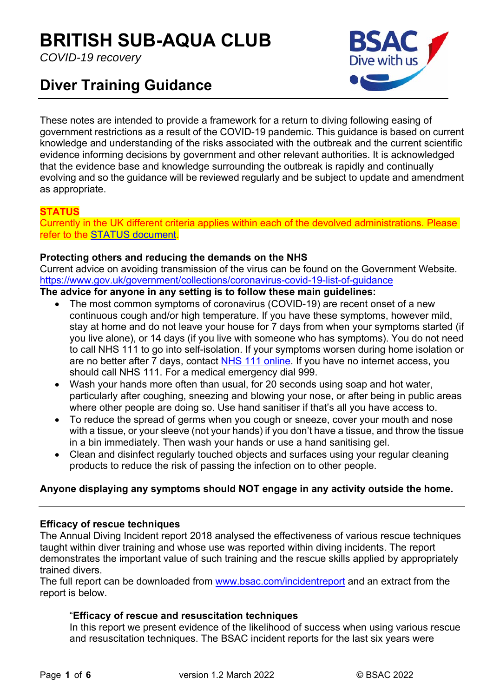# **BRITISH SUB-AQUA CLUB**

*COVID-19 recovery* 

## **Diver Training Guidance**



These notes are intended to provide a framework for a return to diving following easing of government restrictions as a result of the COVID-19 pandemic. This guidance is based on current knowledge and understanding of the risks associated with the outbreak and the current scientific evidence informing decisions by government and other relevant authorities. It is acknowledged that the evidence base and knowledge surrounding the outbreak is rapidly and continually evolving and so the guidance will be reviewed regularly and be subject to update and amendment as appropriate.

## **STATUS**

Currently in the UK different criteria applies within each of the devolved administrations. Please refer to the STATUS document.

## **Protecting others and reducing the demands on the NHS**

Current advice on avoiding transmission of the virus can be found on the Government Website. https://www.gov.uk/government/collections/coronavirus-covid-19-list-of-guidance

## **The advice for anyone in any setting is to follow these main guidelines:**

- The most common symptoms of coronavirus (COVID-19) are recent onset of a new continuous cough and/or high temperature. If you have these symptoms, however mild, stay at home and do not leave your house for 7 days from when your symptoms started (if you live alone), or 14 days (if you live with someone who has symptoms). You do not need to call NHS 111 to go into self-isolation. If your symptoms worsen during home isolation or are no better after 7 days, contact NHS 111 online. If you have no internet access, you should call NHS 111. For a medical emergency dial 999.
- Wash your hands more often than usual, for 20 seconds using soap and hot water, particularly after coughing, sneezing and blowing your nose, or after being in public areas where other people are doing so. Use hand sanitiser if that's all you have access to.
- To reduce the spread of germs when you cough or sneeze, cover your mouth and nose with a tissue, or your sleeve (not your hands) if you don't have a tissue, and throw the tissue in a bin immediately. Then wash your hands or use a hand sanitising gel.
- Clean and disinfect regularly touched objects and surfaces using your regular cleaning products to reduce the risk of passing the infection on to other people.

## **Anyone displaying any symptoms should NOT engage in any activity outside the home.**

## **Efficacy of rescue techniques**

The Annual Diving Incident report 2018 analysed the effectiveness of various rescue techniques taught within diver training and whose use was reported within diving incidents. The report demonstrates the important value of such training and the rescue skills applied by appropriately trained divers.

The full report can be downloaded from www.bsac.com/incidentreport and an extract from the report is below.

## "**Efficacy of rescue and resuscitation techniques**

In this report we present evidence of the likelihood of success when using various rescue and resuscitation techniques. The BSAC incident reports for the last six years were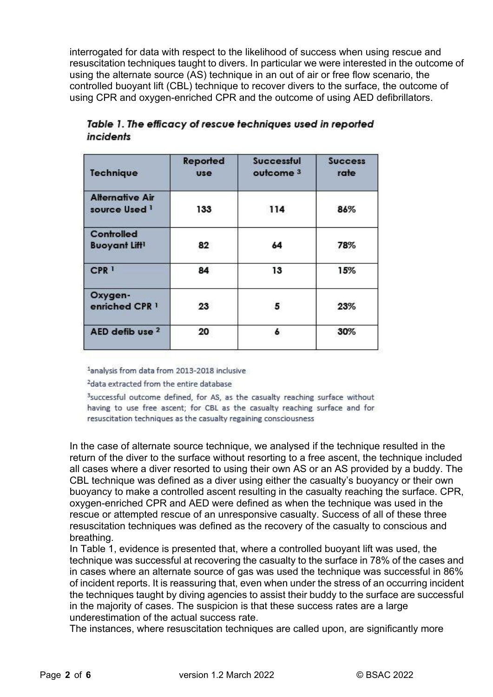interrogated for data with respect to the likelihood of success when using rescue and resuscitation techniques taught to divers. In particular we were interested in the outcome of using the alternate source (AS) technique in an out of air or free flow scenario, the controlled buoyant lift (CBL) technique to recover divers to the surface, the outcome of using CPR and oxygen-enriched CPR and the outcome of using AED defibrillators.

| <b>Technique</b>                                   | Reported<br><b>use</b> | <b>Successful</b><br>outcome <sup>3</sup> | <b>Success</b><br>rate |
|----------------------------------------------------|------------------------|-------------------------------------------|------------------------|
| <b>Alternative Air</b><br>source Used <sup>1</sup> | 133                    | 114                                       | 86%                    |
| Controlled<br><b>Buoyant Lift1</b>                 | 82                     | 64                                        | 78%                    |
| CPR <sup>1</sup>                                   | 84                     | 13                                        | 15%                    |
| Oxygen-<br>enriched CPR 1                          | 23                     | 5                                         | 23%                    |
| AED defib use 2                                    | 20                     | 6                                         | 30%                    |

Table 1. The efficacy of rescue techniques used in reported incidents

<sup>1</sup>analysis from data from 2013-2018 inclusive

<sup>2</sup>data extracted from the entire database

<sup>3</sup>successful outcome defined, for AS, as the casualty reaching surface without having to use free ascent; for CBL as the casualty reaching surface and for resuscitation techniques as the casualty regaining consciousness

In the case of alternate source technique, we analysed if the technique resulted in the return of the diver to the surface without resorting to a free ascent, the technique included all cases where a diver resorted to using their own AS or an AS provided by a buddy. The CBL technique was defined as a diver using either the casualty's buoyancy or their own buoyancy to make a controlled ascent resulting in the casualty reaching the surface. CPR, oxygen-enriched CPR and AED were defined as when the technique was used in the rescue or attempted rescue of an unresponsive casualty. Success of all of these three resuscitation techniques was defined as the recovery of the casualty to conscious and breathing.

In Table 1, evidence is presented that, where a controlled buoyant lift was used, the technique was successful at recovering the casualty to the surface in 78% of the cases and in cases where an alternate source of gas was used the technique was successful in 86% of incident reports. It is reassuring that, even when under the stress of an occurring incident the techniques taught by diving agencies to assist their buddy to the surface are successful in the majority of cases. The suspicion is that these success rates are a large underestimation of the actual success rate.

The instances, where resuscitation techniques are called upon, are significantly more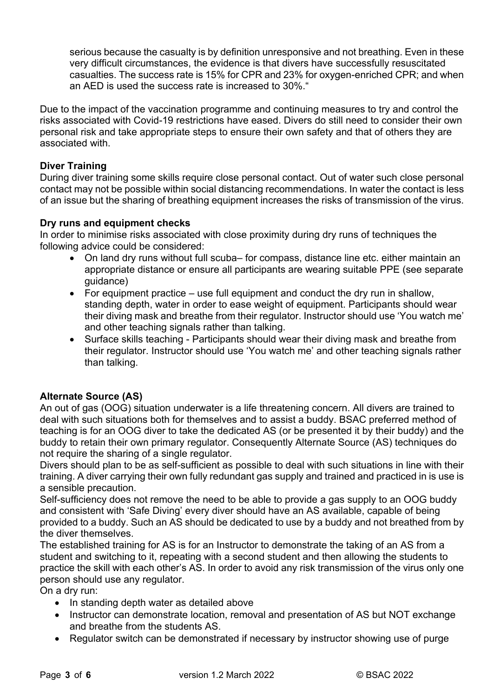serious because the casualty is by definition unresponsive and not breathing. Even in these very difficult circumstances, the evidence is that divers have successfully resuscitated casualties. The success rate is 15% for CPR and 23% for oxygen-enriched CPR; and when an AED is used the success rate is increased to 30%."

Due to the impact of the vaccination programme and continuing measures to try and control the risks associated with Covid-19 restrictions have eased. Divers do still need to consider their own personal risk and take appropriate steps to ensure their own safety and that of others they are associated with.

## **Diver Training**

During diver training some skills require close personal contact. Out of water such close personal contact may not be possible within social distancing recommendations. In water the contact is less of an issue but the sharing of breathing equipment increases the risks of transmission of the virus.

## **Dry runs and equipment checks**

In order to minimise risks associated with close proximity during dry runs of techniques the following advice could be considered:

- On land dry runs without full scuba– for compass, distance line etc. either maintain an appropriate distance or ensure all participants are wearing suitable PPE (see separate guidance)
- For equipment practice use full equipment and conduct the dry run in shallow, standing depth, water in order to ease weight of equipment. Participants should wear their diving mask and breathe from their regulator. Instructor should use 'You watch me' and other teaching signals rather than talking.
- Surface skills teaching Participants should wear their diving mask and breathe from their regulator. Instructor should use 'You watch me' and other teaching signals rather than talking.

## **Alternate Source (AS)**

An out of gas (OOG) situation underwater is a life threatening concern. All divers are trained to deal with such situations both for themselves and to assist a buddy. BSAC preferred method of teaching is for an OOG diver to take the dedicated AS (or be presented it by their buddy) and the buddy to retain their own primary regulator. Consequently Alternate Source (AS) techniques do not require the sharing of a single regulator.

Divers should plan to be as self-sufficient as possible to deal with such situations in line with their training. A diver carrying their own fully redundant gas supply and trained and practiced in is use is a sensible precaution.

Self-sufficiency does not remove the need to be able to provide a gas supply to an OOG buddy and consistent with 'Safe Diving' every diver should have an AS available, capable of being provided to a buddy. Such an AS should be dedicated to use by a buddy and not breathed from by the diver themselves.

The established training for AS is for an Instructor to demonstrate the taking of an AS from a student and switching to it, repeating with a second student and then allowing the students to practice the skill with each other's AS. In order to avoid any risk transmission of the virus only one person should use any regulator.

On a dry run:

- In standing depth water as detailed above
- Instructor can demonstrate location, removal and presentation of AS but NOT exchange and breathe from the students AS.
- Regulator switch can be demonstrated if necessary by instructor showing use of purge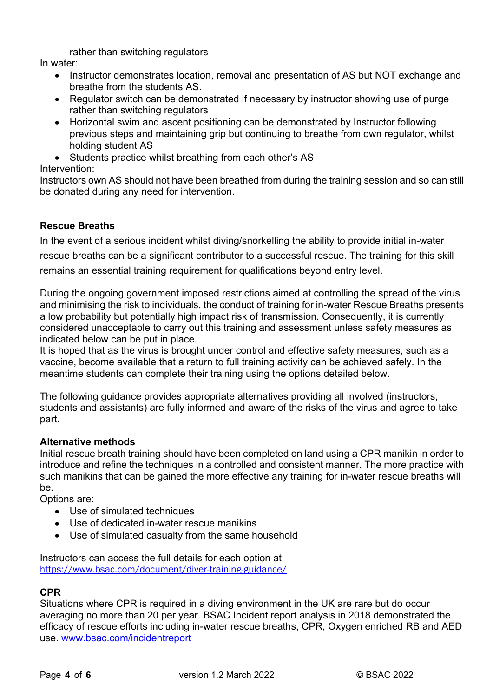rather than switching regulators

In water:

- Instructor demonstrates location, removal and presentation of AS but NOT exchange and breathe from the students AS.
- Regulator switch can be demonstrated if necessary by instructor showing use of purge rather than switching regulators
- Horizontal swim and ascent positioning can be demonstrated by Instructor following previous steps and maintaining grip but continuing to breathe from own regulator, whilst holding student AS
- Students practice whilst breathing from each other's AS

Intervention:

Instructors own AS should not have been breathed from during the training session and so can still be donated during any need for intervention.

## **Rescue Breaths**

In the event of a serious incident whilst diving/snorkelling the ability to provide initial in-water rescue breaths can be a significant contributor to a successful rescue. The training for this skill remains an essential training requirement for qualifications beyond entry level.

During the ongoing government imposed restrictions aimed at controlling the spread of the virus and minimising the risk to individuals, the conduct of training for in-water Rescue Breaths presents a low probability but potentially high impact risk of transmission. Consequently, it is currently considered unacceptable to carry out this training and assessment unless safety measures as indicated below can be put in place.

It is hoped that as the virus is brought under control and effective safety measures, such as a vaccine, become available that a return to full training activity can be achieved safely. In the meantime students can complete their training using the options detailed below.

The following guidance provides appropriate alternatives providing all involved (instructors, students and assistants) are fully informed and aware of the risks of the virus and agree to take part.

## **Alternative methods**

Initial rescue breath training should have been completed on land using a CPR manikin in order to introduce and refine the techniques in a controlled and consistent manner. The more practice with such manikins that can be gained the more effective any training for in-water rescue breaths will be.

Options are:

- Use of simulated techniques
- Use of dedicated in-water rescue manikins
- Use of simulated casualty from the same household

Instructors can access the full details for each option at https://www.bsac.com/document/diver-training-guidance/

## **CPR**

Situations where CPR is required in a diving environment in the UK are rare but do occur averaging no more than 20 per year. BSAC Incident report analysis in 2018 demonstrated the efficacy of rescue efforts including in-water rescue breaths, CPR, Oxygen enriched RB and AED use. www.bsac.com/incidentreport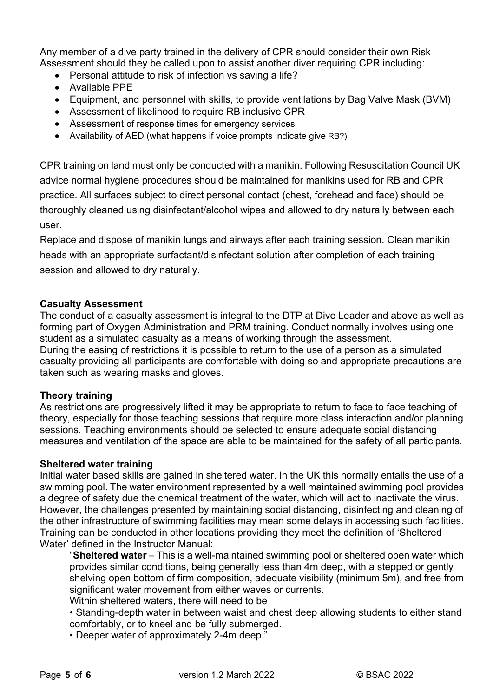Any member of a dive party trained in the delivery of CPR should consider their own Risk Assessment should they be called upon to assist another diver requiring CPR including:

- Personal attitude to risk of infection vs saving a life?
- Available PPE
- Equipment, and personnel with skills, to provide ventilations by Bag Valve Mask (BVM)
- Assessment of likelihood to require RB inclusive CPR
- Assessment of response times for emergency services
- Availability of AED (what happens if voice prompts indicate give RB?)

CPR training on land must only be conducted with a manikin. Following Resuscitation Council UK advice normal hygiene procedures should be maintained for manikins used for RB and CPR practice. All surfaces subject to direct personal contact (chest, forehead and face) should be thoroughly cleaned using disinfectant/alcohol wipes and allowed to dry naturally between each user.

Replace and dispose of manikin lungs and airways after each training session. Clean manikin heads with an appropriate surfactant/disinfectant solution after completion of each training session and allowed to dry naturally.

## **Casualty Assessment**

The conduct of a casualty assessment is integral to the DTP at Dive Leader and above as well as forming part of Oxygen Administration and PRM training. Conduct normally involves using one student as a simulated casualty as a means of working through the assessment. During the easing of restrictions it is possible to return to the use of a person as a simulated casualty providing all participants are comfortable with doing so and appropriate precautions are taken such as wearing masks and gloves.

## **Theory training**

As restrictions are progressively lifted it may be appropriate to return to face to face teaching of theory, especially for those teaching sessions that require more class interaction and/or planning sessions. Teaching environments should be selected to ensure adequate social distancing measures and ventilation of the space are able to be maintained for the safety of all participants.

## **Sheltered water training**

Initial water based skills are gained in sheltered water. In the UK this normally entails the use of a swimming pool. The water environment represented by a well maintained swimming pool provides a degree of safety due the chemical treatment of the water, which will act to inactivate the virus. However, the challenges presented by maintaining social distancing, disinfecting and cleaning of the other infrastructure of swimming facilities may mean some delays in accessing such facilities. Training can be conducted in other locations providing they meet the definition of 'Sheltered Water' defined in the Instructor Manual:

"**Sheltered water** – This is a well-maintained swimming pool or sheltered open water which provides similar conditions, being generally less than 4m deep, with a stepped or gently shelving open bottom of firm composition, adequate visibility (minimum 5m), and free from significant water movement from either waves or currents.

Within sheltered waters, there will need to be

- Standing-depth water in between waist and chest deep allowing students to either stand comfortably, or to kneel and be fully submerged.
- Deeper water of approximately 2-4m deep."